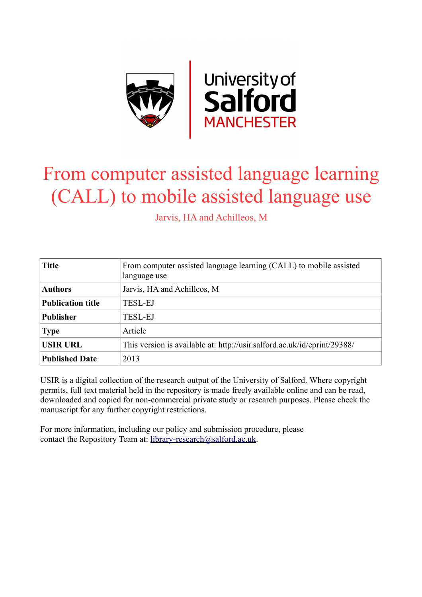

# From computer assisted language learning (CALL) to mobile assisted language use

Jarvis, HA and Achilleos, M

| <b>Title</b>             | From computer assisted language learning (CALL) to mobile assisted<br>language use |
|--------------------------|------------------------------------------------------------------------------------|
| <b>Authors</b>           | Jarvis, HA and Achilleos, M                                                        |
| <b>Publication title</b> | <b>TESL-EJ</b>                                                                     |
| <b>Publisher</b>         | <b>TESL-EJ</b>                                                                     |
| <b>Type</b>              | Article                                                                            |
| <b>USIR URL</b>          | This version is available at: http://usir.salford.ac.uk/id/eprint/29388/           |
| <b>Published Date</b>    | 2013                                                                               |

USIR is a digital collection of the research output of the University of Salford. Where copyright permits, full text material held in the repository is made freely available online and can be read, downloaded and copied for non-commercial private study or research purposes. Please check the manuscript for any further copyright restrictions.

For more information, including our policy and submission procedure, please contact the Repository Team at: [library-research@salford.ac.uk.](mailto:library-research@salford.ac.uk)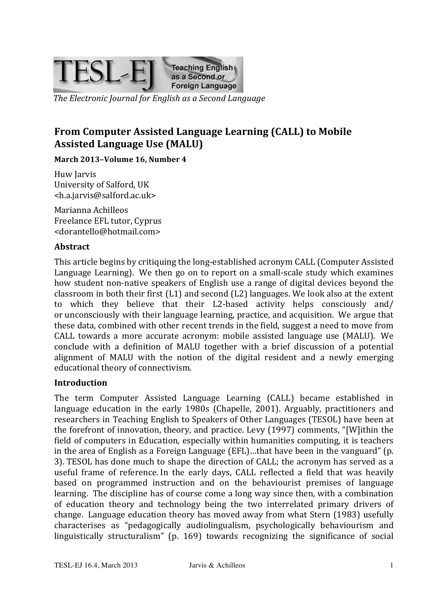

The Electronic Journal for English as a Second Language

## From Computer Assisted Language Learning (CALL) to Mobile **Assisted Language Use (MALU)**

#### March 2013-Volume 16, Number 4

Huw Jarvis University of Salford, UK <h.a.jarvis@salford.ac.uk>

Marianna Achilleos Freelance EFL tutor, Cyprus <dorantello@hotmail.com>

#### **Abstract**

This article begins by critiquing the long-established acronym CALL (Computer Assisted Language Learning). We then go on to report on a small-scale study which examines how student non-native speakers of English use a range of digital devices beyond the classroom in both their first  $(L1)$  and second  $(L2)$  languages. We look also at the extent to which they believe that their L2-based activity helps consciously and/ or unconsciously with their language learning, practice, and acquisition. We argue that these data, combined with other recent trends in the field, suggest a need to move from CALL towards a more accurate acronym: mobile assisted language use (MALU). We conclude with a definition of MALU together with a brief discussion of a potential alignment of MALU with the notion of the digital resident and a newly emerging educational theory of connectivism.

#### **Introduction**

The term Computer Assisted Language Learning (CALL) became established in language education in the early 1980s (Chapelle, 2001). Arguably, practitioners and researchers in Teaching English to Speakers of Other Languages (TESOL) have been at the forefront of innovation, theory, and practice. Levy (1997) comments, "[W]ithin the field of computers in Education, especially within humanities computing, it is teachers in the area of English as a Foreign Language ( $EFL$ )…that have been in the vanguard" (p. 3). TESOL has done much to shape the direction of CALL; the acronym has served as a useful frame of reference. In the early days, CALL reflected a field that was heavily based on programmed instruction and on the behaviourist premises of language learning. The discipline has of course come a long way since then, with a combination of education theory and technology being the two interrelated primary drivers of change. Language education theory has moved away from what Stern (1983) usefully characterises as "pedagogically audiolingualism, psychologically behaviourism and linguistically structuralism" (p. 169) towards recognizing the significance of social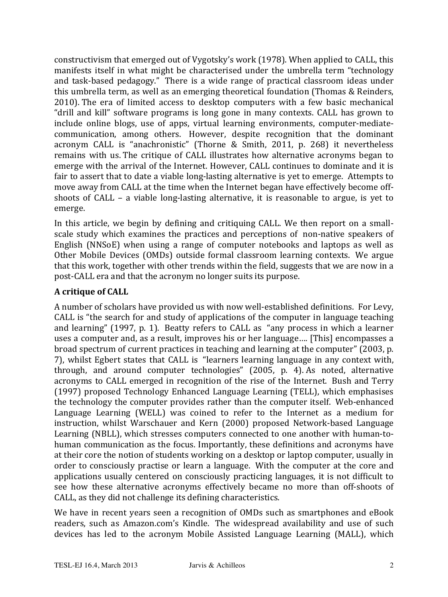constructivism that emerged out of Vygotsky's work (1978). When applied to CALL, this manifests itself in what might be characterised under the umbrella term "technology" and task-based pedagogy." There is a wide range of practical classroom ideas under this umbrella term, as well as an emerging theoretical foundation (Thomas & Reinders, 2010). The era of limited access to desktop computers with a few basic mechanical "drill and kill" software programs is long gone in many contexts. CALL has grown to include online blogs, use of apps, virtual learning environments, computer-mediatecommunication, among others. However, despite recognition that the dominant acronym CALL is "anachronistic" (Thorne & Smith, 2011, p. 268) it nevertheless remains with us. The critique of CALL illustrates how alternative acronyms began to emerge with the arrival of the Internet. However, CALL continues to dominate and it is fair to assert that to date a viable long-lasting alternative is yet to emerge. Attempts to move away from CALL at the time when the Internet began have effectively become offshoots of  $CALL - a$  viable long-lasting alternative, it is reasonable to argue, is yet to emerge.

In this article, we begin by defining and critiquing CALL. We then report on a smallscale study which examines the practices and perceptions of non-native speakers of English (NNSoE) when using a range of computer notebooks and laptops as well as Other Mobile Devices (OMDs) outside formal classroom learning contexts. We argue that this work, together with other trends within the field, suggests that we are now in a post-CALL era and that the acronym no longer suits its purpose.

## **A critique of CALL**

A number of scholars have provided us with now well-established definitions. For Levy, CALL is "the search for and study of applications of the computer in language teaching and learning" (1997, p. 1). Beatty refers to CALL as "any process in which a learner uses a computer and, as a result, improves his or her language.... [This] encompasses a broad spectrum of current practices in teaching and learning at the computer" (2003, p. 7), whilst Egbert states that CALL is "learners learning language in any context with, through, and around computer technologies" (2005, p. 4). As noted, alternative acronyms to CALL emerged in recognition of the rise of the Internet. Bush and Terry (1997) proposed Technology Enhanced Language Learning (TELL), which emphasises the technology the computer provides rather than the computer itself. Web-enhanced Language Learning (WELL) was coined to refer to the Internet as a medium for instruction, whilst Warschauer and Kern (2000) proposed Network-based Language Learning (NBLL), which stresses computers connected to one another with human-tohuman communication as the focus. Importantly, these definitions and acronyms have at their core the notion of students working on a desktop or laptop computer, usually in order to consciously practise or learn a language. With the computer at the core and applications usually centered on consciously practicing languages, it is not difficult to see how these alternative acronyms effectively became no more than off-shoots of CALL, as they did not challenge its defining characteristics.

We have in recent years seen a recognition of OMDs such as smartphones and eBook readers, such as Amazon.com's Kindle. The widespread availability and use of such devices has led to the acronym Mobile Assisted Language Learning (MALL), which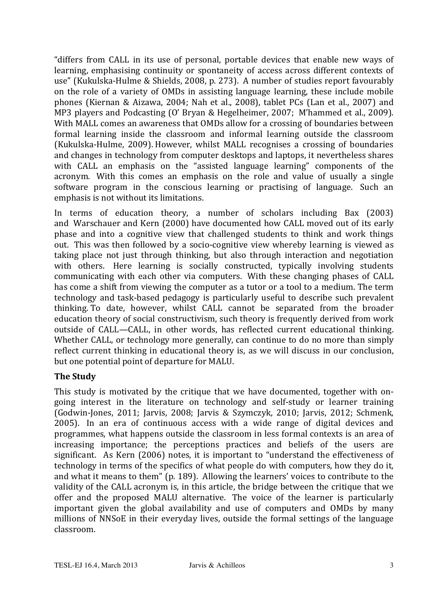"differs from CALL in its use of personal, portable devices that enable new ways of learning, emphasising continuity or spontaneity of access across different contexts of use" (Kukulska-Hulme & Shields, 2008, p. 273). A number of studies report favourably on the role of a variety of OMDs in assisting language learning, these include mobile phones (Kiernan & Aizawa, 2004; Nah et al., 2008), tablet PCs (Lan et al., 2007) and MP3 players and Podcasting (O' Bryan & Hegelheimer, 2007; M'hammed et al., 2009). With MALL comes an awareness that OMDs allow for a crossing of boundaries between formal learning inside the classroom and informal learning outside the classroom (Kukulska-Hulme, 2009). However, whilst MALL recognises a crossing of boundaries and changes in technology from computer desktops and laptops, it nevertheless shares with CALL an emphasis on the "assisted language learning" components of the acronym. With this comes an emphasis on the role and value of usually a single software program in the conscious learning or practising of language. Such an emphasis is not without its limitations.

In terms of education theory, a number of scholars including Bax (2003) and Warschauer and Kern (2000) have documented how CALL moved out of its early phase and into a cognitive view that challenged students to think and work things out. This was then followed by a socio-cognitive view whereby learning is viewed as taking place not just through thinking, but also through interaction and negotiation with others. Here learning is socially constructed, typically involving students communicating with each other via computers. With these changing phases of CALL has come a shift from viewing the computer as a tutor or a tool to a medium. The term technology and task-based pedagogy is particularly useful to describe such prevalent thinking. To date, however, whilst CALL cannot be separated from the broader education theory of social constructivism, such theory is frequently derived from work outside of CALL—CALL, in other words, has reflected current educational thinking. Whether CALL, or technology more generally, can continue to do no more than simply reflect current thinking in educational theory is, as we will discuss in our conclusion, but one potential point of departure for MALU.

## **The Study**

This study is motivated by the critique that we have documented, together with ongoing interest in the literature on technology and self-study or learner training (Godwin-Jones, 2011; Jarvis, 2008; Jarvis & Szymczyk, 2010; Jarvis, 2012; Schmenk, 2005). In an era of continuous access with a wide range of digital devices and programmes, what happens outside the classroom in less formal contexts is an area of increasing importance; the perceptions practices and beliefs of the users are significant. As Kern (2006) notes, it is important to "understand the effectiveness of technology in terms of the specifics of what people do with computers, how they do it, and what it means to them" (p. 189). Allowing the learners' voices to contribute to the validity of the CALL acronym is, in this article, the bridge between the critique that we offer and the proposed MALU alternative. The voice of the learner is particularly important given the global availability and use of computers and OMDs by many millions of NNSoE in their everyday lives, outside the formal settings of the language classroom.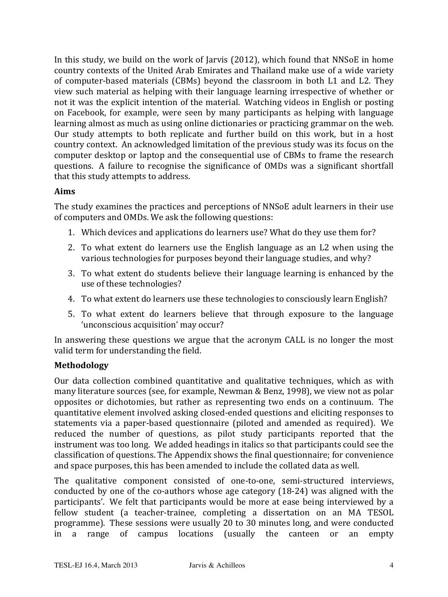In this study, we build on the work of Jarvis (2012), which found that NNSoE in home country contexts of the United Arab Emirates and Thailand make use of a wide variety of computer-based materials (CBMs) beyond the classroom in both L1 and L2. They view such material as helping with their language learning irrespective of whether or not it was the explicit intention of the material. Watching videos in English or posting on Facebook, for example, were seen by many participants as helping with language learning almost as much as using online dictionaries or practicing grammar on the web. Our study attempts to both replicate and further build on this work, but in a host country context. An acknowledged limitation of the previous study was its focus on the computer desktop or laptop and the consequential use of CBMs to frame the research questions. A failure to recognise the significance of OMDs was a significant shortfall that this study attempts to address.

#### **Aims**

The study examines the practices and perceptions of NNSoE adult learners in their use of computers and OMDs. We ask the following questions:

- 1. Which devices and applications do learners use? What do they use them for?
- 2. To what extent do learners use the English language as an L2 when using the various technologies for purposes beyond their language studies, and why?
- 3. To what extent do students believe their language learning is enhanced by the use of these technologies?
- 4. To what extent do learners use these technologies to consciously learn English?
- 5. To what extent do learners believe that through exposure to the language 'unconscious acquisition' may occur?

In answering these questions we argue that the acronym CALL is no longer the most valid term for understanding the field.

#### **Methodology**

Our data collection combined quantitative and qualitative techniques, which as with many literature sources (see, for example, Newman & Benz, 1998), we view not as polar opposites or dichotomies, but rather as representing two ends on a continuum. The quantitative element involved asking closed-ended questions and eliciting responses to statements via a paper-based questionnaire (piloted and amended as required). We reduced the number of questions, as pilot study participants reported that the instrument was too long. We added headings in italics so that participants could see the classification of questions. The Appendix shows the final questionnaire; for convenience and space purposes, this has been amended to include the collated data as well.

The qualitative component consisted of one-to-one, semi-structured interviews, conducted by one of the co-authors whose age category  $(18-24)$  was aligned with the participants'. We felt that participants would be more at ease being interviewed by a fellow student (a teacher-trainee, completing a dissertation on an MA TESOL programme). These sessions were usually 20 to 30 minutes long, and were conducted in a range of campus locations (usually the canteen or an empty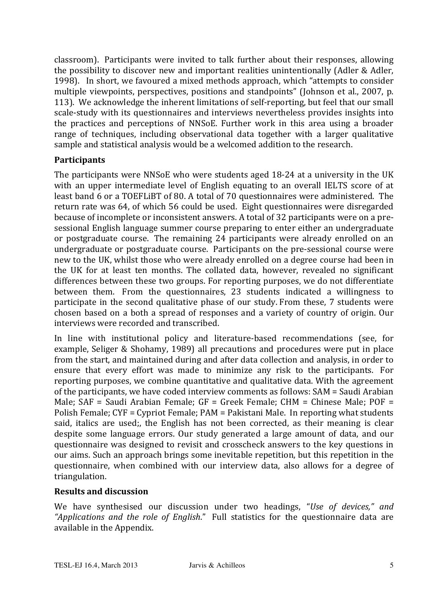classroom). Participants were invited to talk further about their responses, allowing the possibility to discover new and important realities unintentionally (Adler & Adler, 1998). In short, we favoured a mixed methods approach, which "attempts to consider multiple viewpoints, perspectives, positions and standpoints" (Johnson et al., 2007, p. 113). We acknowledge the inherent limitations of self-reporting, but feel that our small scale-study with its questionnaires and interviews nevertheless provides insights into the practices and perceptions of NNSoE. Further work in this area using a broader range of techniques, including observational data together with a larger qualitative sample and statistical analysis would be a welcomed addition to the research.

#### **Participants**

The participants were NNSoE who were students aged  $18-24$  at a university in the UK with an upper intermediate level of English equating to an overall IELTS score of at least band 6 or a TOEFLIBT of 80. A total of 70 questionnaires were administered. The return rate was 64, of which 56 could be used. Eight questionnaires were disregarded because of incomplete or inconsistent answers. A total of 32 participants were on a presessional English language summer course preparing to enter either an undergraduate or postgraduate course. The remaining 24 participants were already enrolled on an undergraduate or postgraduate course. Participants on the pre-sessional course were new to the UK, whilst those who were already enrolled on a degree course had been in the UK for at least ten months. The collated data, however, revealed no significant differences between these two groups. For reporting purposes, we do not differentiate between them. From the questionnaires, 23 students indicated a willingness to participate in the second qualitative phase of our study. From these, 7 students were chosen based on a both a spread of responses and a variety of country of origin. Our interviews were recorded and transcribed.

In line with institutional policy and literature-based recommendations (see, for example, Seliger & Shohamy, 1989) all precautions and procedures were put in place from the start, and maintained during and after data collection and analysis, in order to ensure that every effort was made to minimize any risk to the participants. For reporting purposes, we combine quantitative and qualitative data. With the agreement of the participants, we have coded interview comments as follows: SAM = Saudi Arabian Male;  $SAF$  = Saudi Arabian Female;  $GF$  = Greek Female; CHM = Chinese Male; POF = Polish Female; CYF = Cypriot Female; PAM = Pakistani Male. In reporting what students said, italics are used;, the English has not been corrected, as their meaning is clear despite some language errors. Our study generated a large amount of data, and our questionnaire was designed to revisit and crosscheck answers to the key questions in our aims. Such an approach brings some inevitable repetition, but this repetition in the questionnaire, when combined with our interview data, also allows for a degree of triangulation.

#### **Results and discussion**

We have synthesised our discussion under two headings, "*Use of devices," and* "Applications and the role of English." Full statistics for the questionnaire data are available in the Appendix.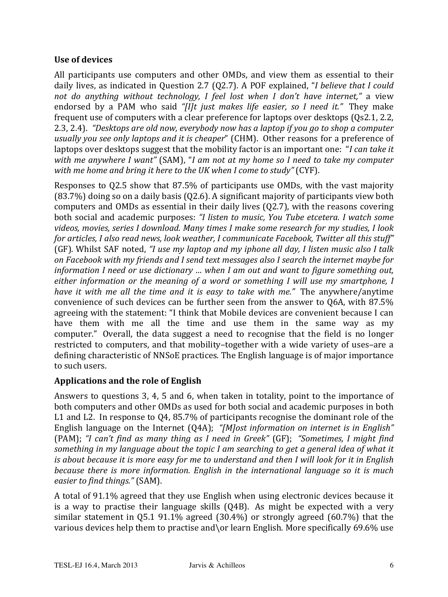#### Use of devices

All participants use computers and other OMDs, and view them as essential to their daily lives, as indicated in Question 2.7 (Q2.7). A POF explained, "I believe that I could not do anything without technology, I feel lost when I don't have internet," a view endorsed by a PAM who said "[I]t just makes life easier, so I need it." They make frequent use of computers with a clear preference for laptops over desktops (0s2.1, 2.2, 2.3, 2.4). "Desktops are old now, everybody now has a laptop if you go to shop a computer usually you see only laptops and it is cheaper" (CHM). Other reasons for a preference of laptops over desktops suggest that the mobility factor is an important one: "I can take it with me anywhere I want" (SAM), "I am not at my home so I need to take my computer with me home and bring it here to the UK when I come to study" (CYF).

Responses to 02.5 show that 87.5% of participants use OMDs, with the vast majority  $(83.7%)$  doing so on a daily basis  $(02.6)$ . A significant majority of participants view both computers and OMDs as essential in their daily lives (Q2.7), with the reasons covering both social and academic purposes: "I listen to music, You Tube etcetera. I watch some videos, movies, series I download. Many times I make some research for my studies, I look for articles, I also read news, look weather, I communicate Facebook, Twitter all this stuff" (GF). Whilst SAF noted, "I use my laptop and my iphone all day, I listen music also I talk on Facebook with my friends and I send text messages also I search the internet maybe for information I need or use dictionary ... when I am out and want to figure something out, either information or the meaning of a word or something I will use my smartphone, I have it with me all the time and it is easy to take with me." The anywhere/anytime convenience of such devices can be further seen from the answer to Q6A, with 87.5% agreeing with the statement: "I think that Mobile devices are convenient because I can have them with me all the time and use them in the same way as my computer." Overall, the data suggest a need to recognise that the field is no longer restricted to computers, and that mobility-together with a wide variety of uses-are a defining characteristic of NNSoE practices. The English language is of major importance to such users.

## **Applications and the role of English**

Answers to questions 3, 4, 5 and 6, when taken in totality, point to the importance of both computers and other OMDs as used for both social and academic purposes in both L1 and L2. In response to 04, 85.7% of participants recognise the dominant role of the English language on the Internet  $(Q4A)$ ; "[M] ost information on internet is in English" (PAM); "I can't find as many thing as I need in Greek" (GF); "Sometimes, I might find something in my language about the topic I am searching to get a general idea of what it is about because it is more easy for me to understand and then I will look for it in English because there is more information. English in the international language so it is much easier to find things." (SAM).

A total of 91.1% agreed that they use English when using electronic devices because it is a way to practise their language skills (04B). As might be expected with a very similar statement in  $Q5.1$  91.1% agreed (30.4%) or strongly agreed (60.7%) that the various devices help them to practise and\or learn English. More specifically 69.6% use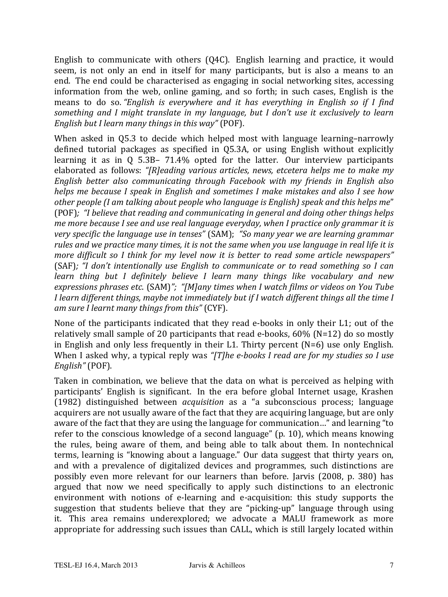English to communicate with others (Q4C). English learning and practice, it would seem, is not only an end in itself for many participants, but is also a means to an end. The end could be characterised as engaging in social networking sites, accessing information from the web, online gaming, and so forth; in such cases, English is the means to do so. "English is everywhere and it has everything in English so if I find something and I might translate in my language, but I don't use it exclusively to learn English but I learn many things in this way" (POF).

When asked in Q5.3 to decide which helped most with language learning-narrowly defined tutorial packages as specified in Q5.3A, or using English without explicitly learning it as in  $Q$  5.3B- 71.4% opted for the latter. Our interview participants elaborated as follows: "[R]eading various articles, news, etcetera helps me to make my English better also communicating through Facebook with my friends in English also helps me because I speak in English and sometimes I make mistakes and also I see how other people (I am talking about people who language is English) speak and this helps me" (POF): "I believe that reading and communicating in general and doing other things helps me more because I see and use real language everyday, when I practice only grammar it is very specific the language use in tenses" (SAM); "So many year we are learning grammar rules and we practice many times, it is not the same when you use language in real life it is more difficult so I think for my level now it is better to read some article newspapers" (SAF); "I don't intentionally use English to communicate or to read something so I can learn thing but I definitely believe I learn many things like vocabulary and new expressions phrases etc. (SAM)"; "[M]any times when I watch films or videos on You Tube I learn different things, maybe not immediately but if I watch different things all the time I am sure I learnt many things from this" (CYF).

None of the participants indicated that they read e-books in only their L1; out of the relatively small sample of 20 participants that read e-books,  $60\%$  (N=12) do so mostly in English and only less frequently in their L1. Thirty percent  $(N=6)$  use only English. When I asked why, a typical reply was "[T]he e-books I read are for my studies so I use English" (POF).

Taken in combination, we believe that the data on what is perceived as helping with participants' English is significant. In the era before global Internet usage, Krashen (1982) distinguished between *acquisition* as a "a subconscious process; language acquirers are not usually aware of the fact that they are acquiring language, but are only aware of the fact that they are using the language for communication..." and learning "to refer to the conscious knowledge of a second language" (p. 10), which means knowing the rules, being aware of them, and being able to talk about them. In nontechnical terms, learning is "knowing about a language." Our data suggest that thirty years on, and with a prevalence of digitalized devices and programmes, such distinctions are possibly even more relevant for our learners than before. Jarvis (2008, p. 380) has argued that now we need specifically to apply such distinctions to an electronic environment with notions of e-learning and e-acquisition: this study supports the suggestion that students believe that they are "picking-up" language through using it. This area remains underexplored: we advocate a MALU framework as more appropriate for addressing such issues than CALL, which is still largely located within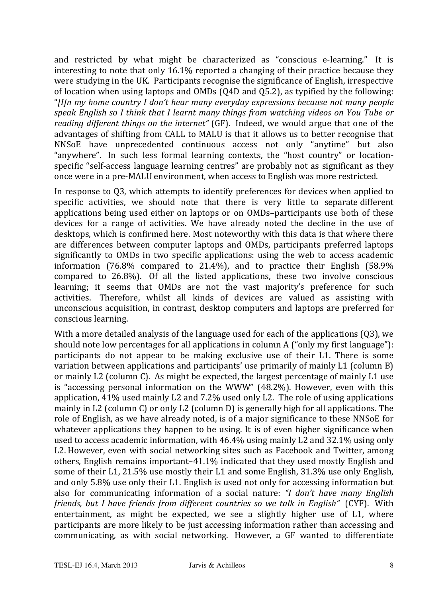and restricted by what might be characterized as "conscious e-learning." It is interesting to note that only 16.1% reported a changing of their practice because they were studying in the UK. Participants recognise the significance of English, irrespective of location when using laptops and OMDs (O4D and O5.2), as typified by the following: "[I]n my home country I don't hear many everyday expressions because not many people speak English so I think that I learnt many things from watching videos on You Tube or reading different things on the internet" (GF). Indeed, we would argue that one of the advantages of shifting from CALL to MALU is that it allows us to better recognise that NNSoE have unprecedented continuous access not only "anytime" but also "anywhere". In such less formal learning contexts, the "host country" or locationspecific "self-access language learning centres" are probably not as significant as they once were in a pre-MALU environment, when access to English was more restricted.

In response to 03, which attempts to identify preferences for devices when applied to specific activities, we should note that there is very little to separate different applications being used either on laptops or on OMDs-participants use both of these devices for a range of activities. We have already noted the decline in the use of desktops, which is confirmed here. Most noteworthy with this data is that where there are differences between computer laptops and OMDs, participants preferred laptops significantly to OMDs in two specific applications: using the web to access academic information (76.8% compared to 21.4%), and to practice their English (58.9%) compared to 26.8%). Of all the listed applications, these two involve conscious learning; it seems that OMDs are not the vast majority's preference for such activities. Therefore, whilst all kinds of devices are valued as assisting with unconscious acquisition, in contrast, desktop computers and laptops are preferred for conscious learning.

With a more detailed analysis of the language used for each of the applications (Q3), we should note low percentages for all applications in column A ("only my first language"): participants do not appear to be making exclusive use of their L1. There is some variation between applications and participants' use primarily of mainly L1 (column B) or mainly L2 (column C). As might be expected, the largest percentage of mainly L1 use is "accessing personal information on the WWW" (48.2%). However, even with this application, 41% used mainly L2 and 7.2% used only L2. The role of using applications mainly in L2 (column C) or only L2 (column D) is generally high for all applications. The role of English, as we have already noted, is of a major significance to these NNSoE for whatever applications they happen to be using. It is of even higher significance when used to access academic information, with 46.4% using mainly L2 and 32.1% using only L2. However, even with social networking sites such as Facebook and Twitter, among others, English remains important-41.1% indicated that they used mostly English and some of their L1, 21.5% use mostly their L1 and some English, 31.3% use only English, and only 5.8% use only their L1. English is used not only for accessing information but also for communicating information of a social nature: "I don't have many English friends, but I have friends from different countries so we talk in English" (CYF). With entertainment, as might be expected, we see a slightly higher use of L1, where participants are more likely to be just accessing information rather than accessing and communicating, as with social networking. However, a GF wanted to differentiate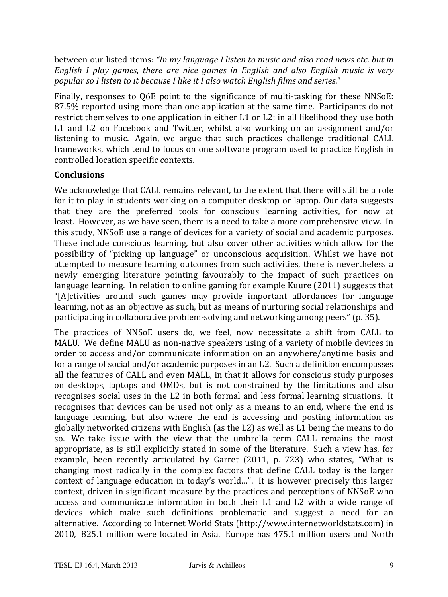between our listed items: "In my language I listen to music and also read news etc. but in English I play games, there are nice games in English and also English music is very popular so I listen to it because I like it I also watch English films and series."

Finally, responses to O6E point to the significance of multi-tasking for these NNSoE: 87.5% reported using more than one application at the same time. Participants do not restrict themselves to one application in either L1 or L2; in all likelihood they use both L1 and L2 on Facebook and Twitter, whilst also working on an assignment and/or listening to music. Again, we argue that such practices challenge traditional CALL frameworks, which tend to focus on one software program used to practice English in controlled location specific contexts.

#### **Conclusions**

We acknowledge that CALL remains relevant, to the extent that there will still be a role for it to play in students working on a computer desktop or laptop. Our data suggests that they are the preferred tools for conscious learning activities, for now at least. However, as we have seen, there is a need to take a more comprehensive view. In this study, NNSoE use a range of devices for a variety of social and academic purposes. These include conscious learning, but also cover other activities which allow for the possibility of "picking up language" or unconscious acquisition. Whilst we have not attempted to measure learning outcomes from such activities, there is nevertheless a newly emerging literature pointing favourably to the impact of such practices on language learning. In relation to online gaming for example Kuure (2011) suggests that "[A] ctivities around such games may provide important affordances for language learning, not as an objective as such, but as means of nurturing social relationships and participating in collaborative problem-solving and networking among peers" (p. 35).

The practices of NNSoE users do, we feel, now necessitate a shift from CALL to MALU. We define MALU as non-native speakers using of a variety of mobile devices in order to access and/or communicate information on an anywhere/anytime basis and for a range of social and/or academic purposes in an L2. Such a definition encompasses all the features of CALL and even MALL, in that it allows for conscious study purposes on desktops, laptops and OMDs, but is not constrained by the limitations and also recognises social uses in the L2 in both formal and less formal learning situations. It recognises that devices can be used not only as a means to an end, where the end is language learning, but also where the end is accessing and posting information as globally networked citizens with English (as the L2) as well as L1 being the means to do so. We take issue with the view that the umbrella term CALL remains the most appropriate, as is still explicitly stated in some of the literature. Such a view has, for example, been recently articulated by Garret (2011, p. 723) who states, "What is changing most radically in the complex factors that define CALL today is the larger context of language education in today's world...". It is however precisely this larger context, driven in significant measure by the practices and perceptions of NNSoE who access and communicate information in both their L1 and L2 with a wide range of devices which make such definitions problematic and suggest a need for an alternative. According to Internet World Stats (http://www.internetworldstats.com) in 2010, 825.1 million were located in Asia. Europe has 475.1 million users and North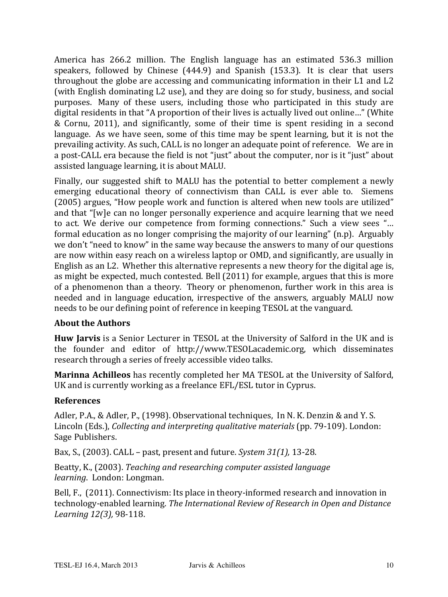America has 266.2 million. The English language has an estimated 536.3 million speakers, followed by Chinese (444.9) and Spanish (153.3). It is clear that users throughout the globe are accessing and communicating information in their L1 and L2 (with English dominating L2 use), and they are doing so for study, business, and social purposes. Many of these users, including those who participated in this study are digital residents in that "A proportion of their lives is actually lived out online..." (White & Cornu, 2011), and significantly, some of their time is spent residing in a second language. As we have seen, some of this time may be spent learning, but it is not the prevailing activity. As such, CALL is no longer an adequate point of reference. We are in a post-CALL era because the field is not "just" about the computer, nor is it "just" about assisted language learning, it is about MALU.

Finally, our suggested shift to MALU has the potential to better complement a newly emerging educational theory of connectivism than CALL is ever able to. Siemens (2005) argues, "How people work and function is altered when new tools are utilized" and that "[w]e can no longer personally experience and acquire learning that we need to act. We derive our competence from forming connections." Such a view sees "... formal education as no longer comprising the majority of our learning"  $(n.p)$ . Arguably we don't "need to know" in the same way because the answers to many of our questions are now within easy reach on a wireless laptop or OMD, and significantly, are usually in English as an L2. Whether this alternative represents a new theory for the digital age is, as might be expected, much contested. Bell (2011) for example, argues that this is more of a phenomenon than a theory. Theory or phenomenon, further work in this area is needed and in language education, irrespective of the answers, arguably MALU now needs to be our defining point of reference in keeping TESOL at the vanguard.

## **About the Authors**

**Huw Jarvis** is a Senior Lecturer in TESOL at the University of Salford in the UK and is the founder and editor of http://www.TESOLacademic.org, which disseminates research through a series of freely accessible video talks.

**Marinna Achilleos** has recently completed her MA TESOL at the University of Salford, UK and is currently working as a freelance EFL/ESL tutor in Cyprus.

#### **References**

Adler, P.A., & Adler, P., (1998). Observational techniques, In N. K. Denzin & and Y. S. Lincoln (Eds.), *Collecting and interpreting qualitative materials* (pp. 79-109). London: Sage Publishers.

Bax, S., (2003). CALL – past, present and future. *System 31(1)*, 13-28.

Beatty, K., (2003). *Teaching and researching computer assisted language learning.* London: Longman.

Bell, F., (2011). Connectivism: Its place in theory-informed research and innovation in technology-enabled learning. *The International Review of Research in Open and Distance Learning* 12(3), 98-118.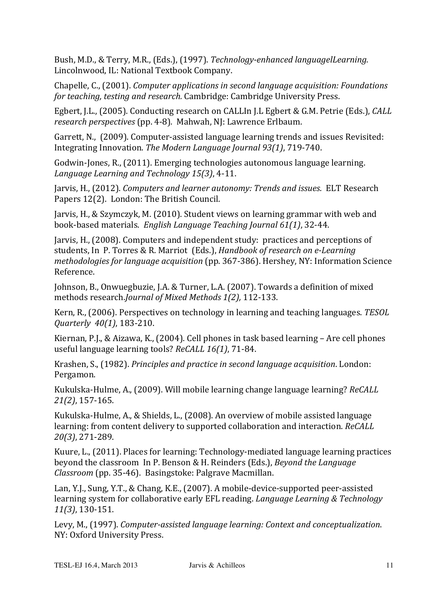Bush, M.D., & Terry, M.R., (Eds.), (1997). *Technology-enhanced languagelLearning.* Lincolnwood, IL: National Textbook Company.

Chapelle, C., (2001). *Computer applications in second language acquisition: Foundations for teaching, testing and research.* Cambridge: Cambridge University Press.

Egbert, J.L., (2005). Conducting research on CALLIn J.L Egbert & G.M. Petrie (Eds.), *CALL research perspectives* (pp. 4-8). Mahwah, NJ: Lawrence Erlbaum.

Garrett, N., (2009). Computer-assisted language learning trends and issues Revisited: Integrating Innovation. The Modern Language Journal 93(1), 719-740.

Godwin-Jones, R., (2011). Emerging technologies autonomous language learning. *Language Learning and Technology 15(3), 4-11.* 

Jarvis, H., (2012). *Computers and learner autonomy: Trends and issues.* ELT Research Papers 12(2). London: The British Council.

Jarvis, H., & Szymczyk, M. (2010). Student views on learning grammar with web and book-based materials. *English Language Teaching Journal 61(1)*, 32-44.

Jarvis, H., (2008). Computers and independent study: practices and perceptions of students, In P. Torres & R. Marriot (Eds.), *Handbook of research on e-Learning methodologies for language acquisition* (pp. 367-386). Hershey, NY: Information Science Reference.

Johnson, B., Onwuegbuzie, J.A. & Turner, L.A. (2007). Towards a definition of mixed methods research.*Journal of Mixed Methods 1(2)*, 112-133.

Kern, R., (2006). Perspectives on technology in learning and teaching languages. *TESOL Quarterly* 40(1), 183-210.

Kiernan, P.J., & Aizawa, K., (2004). Cell phones in task based learning – Are cell phones useful language learning tools? *ReCALL 16(1)*, 71-84.

Krashen, S., (1982). *Principles and practice in second language acquisition*. London: Pergamon.

Kukulska-Hulme, A., (2009). Will mobile learning change language learning? *ReCALL 21(2)*, 157-165.

Kukulska-Hulme, A., & Shields, L., (2008). An overview of mobile assisted language learning: from content delivery to supported collaboration and interaction. *ReCALL 20(3)*, 271-289.

Kuure, L., (2011). Places for learning: Technology-mediated language learning practices beyond the classroom In P. Benson & H. Reinders (Eds.), *Beyond the Language Classroom* (pp. 35-46). Basingstoke: Palgrave Macmillan.

Lan, Y.J., Sung, Y.T., & Chang, K.E., (2007). A mobile-device-supported peer-assisted learning system for collaborative early EFL reading. *Language Learning & Technology 11(3)*, 130-151.

Levy, M., (1997). *Computer-assisted language learning: Context and conceptualization.* NY: Oxford University Press.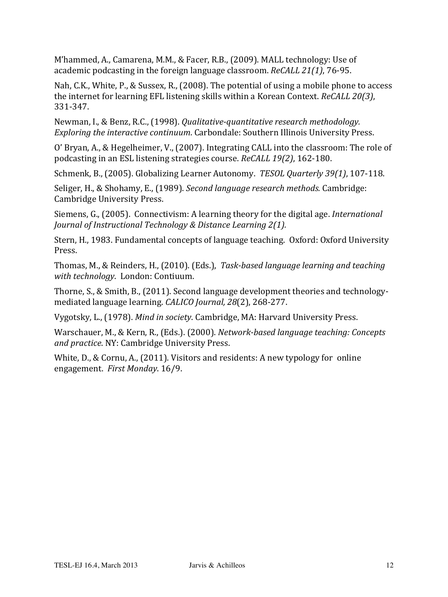M'hammed, A., Camarena, M.M., & Facer, R.B., (2009). MALL technology: Use of academic podcasting in the foreign language classroom. *ReCALL 21(1)*, 76-95.

Nah, C.K., White, P., & Sussex, R., (2008). The potential of using a mobile phone to access the internet for learning EFL listening skills within a Korean Context. *ReCALL 20(3)*, 331-347.

Newman, I., & Benz, R.C., (1998). *Qualitative-quantitative research methodology. Exploring the interactive continuum.* Carbondale: Southern Illinois University Press.

O' Bryan, A., & Hegelheimer, V., (2007). Integrating CALL into the classroom: The role of podcasting in an ESL listening strategies course. *ReCALL 19(2)*, 162-180.

Schmenk, B., (2005). Globalizing Learner Autonomy. *TESOL Quarterly 39(1)*, 107-118.

Seliger, H., & Shohamy, E., (1989). *Second language research methods.* Cambridge: Cambridge University Press.

Siemens, G., (2005). Connectivism: A learning theory for the digital age. *International Journal of Instructional Technology & Distance Learning 2(1).* 

Stern, H., 1983. Fundamental concepts of language teaching. Oxford: Oxford University Press.

Thomas, M., & Reinders, H., (2010). (Eds.), *Task-based language learning and teaching* with technology. London: Contiuum.

Thorne, S., & Smith, B., (2011). Second language development theories and technologymediated language learning. *CALICO Journal, 28*(2), 268-277.

Vygotsky, L., (1978). *Mind in society*. Cambridge, MA: Harvard University Press.

Warschauer, M., & Kern, R., (Eds.). (2000). *Network-based language teaching: Concepts* and practice. NY: Cambridge University Press.

White, D., & Cornu, A., (2011). Visitors and residents: A new typology for online engagement. First Monday. 16/9.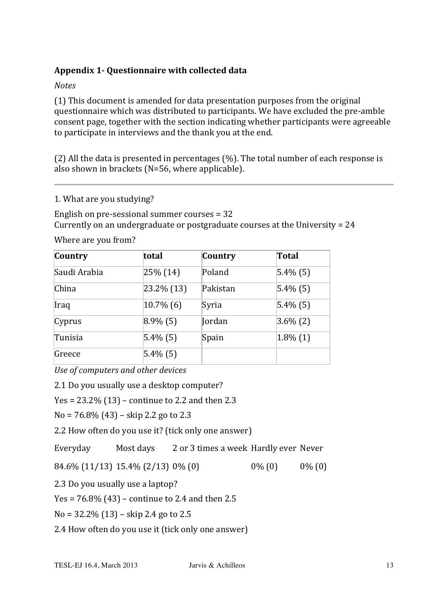## Appendix 1- Questionnaire with collected data

*Notes*

 $(1)$  This document is amended for data presentation purposes from the original questionnaire which was distributed to participants. We have excluded the pre-amble consent page, together with the section indicating whether participants were agreeable to participate in interviews and the thank you at the end.

(2) All the data is presented in percentages (%). The total number of each response is also shown in brackets ( $N=56$ , where applicable).

1. What are you studying?

English on pre-sessional summer courses  $= 32$ Currently on an undergraduate or postgraduate courses at the University  $= 24$ 

Where are you from?

| Country      | total               | Country  | Total       |
|--------------|---------------------|----------|-------------|
| Saudi Arabia | $25\%$ (14)         | Poland   | $5.4\%$ (5) |
| China        | $ 23.2\% 13\rangle$ | Pakistan | $5.4\%$ (5) |
| Iraq         | $10.7\%$ (6)        | Syria    | $5.4\%$ (5) |
| Cyprus       | $8.9\%$ (5)         | Jordan   | $3.6\%$ (2) |
| Tunisia      | $ 5.4\% (5) $       | Spain    | $1.8\%$ (1) |
| Greece       | $ 5.4\% (5) $       |          |             |

*Use of computers and other devices* 

2.1 Do you usually use a desktop computer?

 $Yes = 23.2\% (13) - continue to 2.2 and then 2.3$ 

 $No = 76.8\% (43) - skip 2.2 go to 2.3$ 

2.2 How often do you use it? (tick only one answer)

Everyday Most days 2 or 3 times a week Hardly ever Never

 $84.6\%$  (11/13) 15.4% (2/13) 0% (0)  $0\%$  (0) 0% (0) 0% (0)

2.3 Do you usually use a laptop?

 $Yes = 76.8\% (43) - continue to 2.4 and then 2.5$ 

 $No = 32.2\% (13) - skip 2.4 go to 2.5$ 

2.4 How often do you use it (tick only one answer)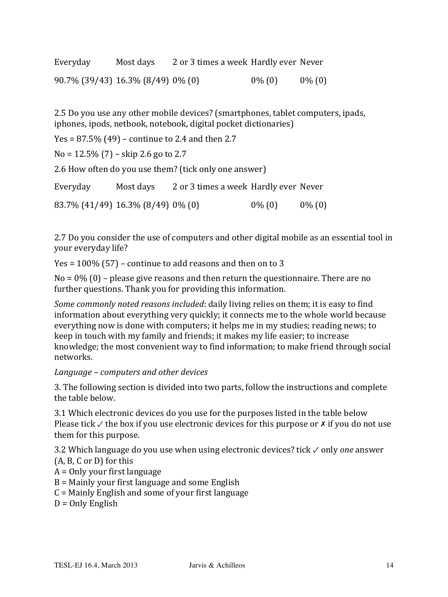| Everyday                          | Most days | 2 or 3 times a week Hardly ever Never |           |           |
|-----------------------------------|-----------|---------------------------------------|-----------|-----------|
| 90.7% (39/43) 16.3% (8/49) 0% (0) |           |                                       | $0\%$ (0) | $0\%$ (0) |

2.5 Do you use any other mobile devices? (smartphones, tablet computers, ipads, iphones, ipods, netbook, notebook, digital pocket dictionaries)

 $Yes = 87.5\% (49) - continue to 2.4 and then 2.7$ 

 $No = 12.5\%$  (7) – skip 2.6 go to 2.7

2.6 How often do you use them? (tick only one answer)

| Everyday                          | Most days | 2 or 3 times a week Hardly ever Never |           |           |
|-----------------------------------|-----------|---------------------------------------|-----------|-----------|
| 83.7% (41/49) 16.3% (8/49) 0% (0) |           |                                       | $0\%$ (0) | $0\%$ (0) |

2.7 Do you consider the use of computers and other digital mobile as an essential tool in your everyday life?

 $Yes = 100\% (57)$  – continue to add reasons and then on to 3

 $No = 0\%$  (0) – please give reasons and then return the questionnaire. There are no further questions. Thank you for providing this information.

*Some commonly noted reasons included*: daily living relies on them; it is easy to find information about everything very quickly; it connects me to the whole world because everything now is done with computers; it helps me in my studies; reading news; to keep in touch with my family and friends; it makes my life easier; to increase knowledge; the most convenient way to find information; to make friend through social networks.

#### *Language – computers and other devices*

3. The following section is divided into two parts, follow the instructions and complete the table below.

3.1 Which electronic devices do you use for the purposes listed in the table below Please tick  $\checkmark$  the box if you use electronic devices for this purpose or  $\checkmark$  if you do not use them for this purpose.

3.2 Which language do you use when using electronic devices? tick √ only *one* answer  $(A, B, C or D)$  for this

- $A =$  Only your first language
- $B$  = Mainly your first language and some English
- $C =$  Mainly English and some of your first language
- $D =$  Only English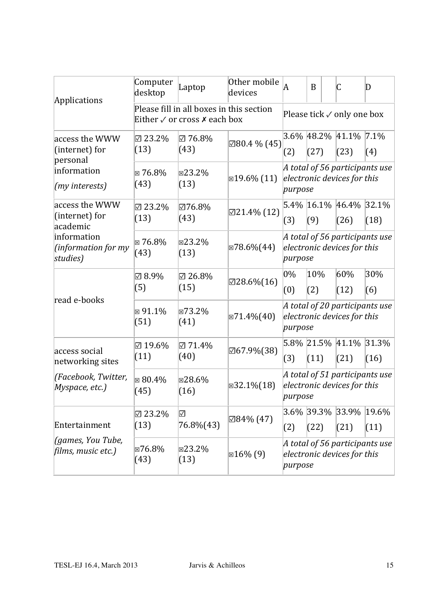| Applications                                             | Computer<br>desktop        | Laptop                                                                                  | Other mobile<br>devices  | A                                                                        | B                                                                        |  | C                                 | $\mathbf D$ |
|----------------------------------------------------------|----------------------------|-----------------------------------------------------------------------------------------|--------------------------|--------------------------------------------------------------------------|--------------------------------------------------------------------------|--|-----------------------------------|-------------|
|                                                          |                            | Please fill in all boxes in this section<br>Either $\sqrt{}$ or cross $\bm{x}$ each box |                          |                                                                          | Please tick $\checkmark$ only one box                                    |  |                                   |             |
| access the WWW<br>(internet) for<br>personal             | $\boxtimes$ 23.2%<br>(13)  | ☑ 76.8%<br>(43)                                                                         | 280.4 % (45)             | 3.6%<br>(2)                                                              | 48.2%<br>(27)                                                            |  | 41.1%<br>(23)                     | 7.1%<br>(4) |
| information<br>(my interests)                            | $\boxtimes 76.8\%$<br>(43) | ⊠23.2%<br>(13)                                                                          | $\boxtimes$ 19.6% (11)   |                                                                          | A total of 56 participants use<br>electronic devices for this<br>purpose |  |                                   |             |
| access the WWW<br>(internet) for<br>academic             | $\boxtimes$ 23.2%<br>(13)  | ☑76.8%<br>(43)                                                                          | $\boxtimes$ 21.4% (12)   | 5.4% 16.1%<br>(3)                                                        | (9)                                                                      |  | 46.4% 32.1%<br>(26)               | (18)        |
| information<br>(information for my<br>studies)           | $\boxtimes 76.8\%$<br>(43) | ⊠23.2%<br>(13)                                                                          | $\boxtimes 78.6\% (44)$  |                                                                          | A total of 56 participants use<br>electronic devices for this<br>purpose |  |                                   |             |
| read e-books                                             | $\boxtimes$ 8.9%<br>(5)    | $\boxtimes$ 26.8%<br>(15)                                                               | $\boxtimes$ 28.6% $(16)$ | $0\%$<br>(0)                                                             | 10%<br>(2)                                                               |  | 60%<br>(12)                       | 30%<br>(6)  |
|                                                          | $\boxtimes$ 91.1%<br>(51)  | ⊠73.2%<br>(41)                                                                          | $\boxtimes 71.4\% (40)$  | A total of 20 participants use<br>electronic devices for this<br>purpose |                                                                          |  |                                   |             |
| access social<br>networking sites                        | $\boxtimes$ 19.6%<br>(11)  | ☑ 71.4%<br>(40)                                                                         | 267.9%(38)               | (3)                                                                      | (11)                                                                     |  | $5.8\%$ 21.5% 41.1% 31.3%<br>(21) | (16)        |
| (Facebook, Twitter,<br>Myspace, etc.)                    | $\boxtimes 80.4\%$<br>(45) | ⊠28.6%<br>(16)                                                                          | $\boxtimes$ 32.1% $(18)$ | A total of 51 participants use<br>electronic devices for this<br>purpose |                                                                          |  |                                   |             |
| Entertainment<br>(games, You Tube,<br>films, music etc.) | 23.2%<br>(13)              | $\triangledown$<br>76.8%(43)                                                            | ⊠84% (47)                | (2)                                                                      | (22)                                                                     |  | 3.6% 39.3% 33.9% 19.6%<br>(21)    | (11)        |
|                                                          | ⊠76.8%<br>(43)             | ⊠23.2%<br>(13)                                                                          | ⊠ $16\%$ (9)             | A total of 56 participants use<br>electronic devices for this<br>purpose |                                                                          |  |                                   |             |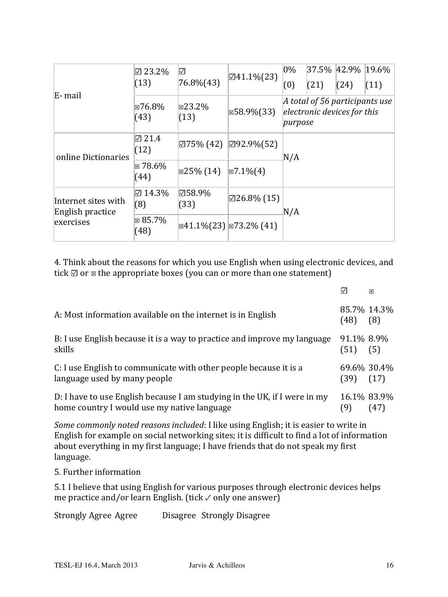| E-mail                                               | $\boxtimes$ 23.2%<br>(13) | $\boxdot$<br>$76.8\%(43)$ | $\boxtimes$ 41.1%(23)                                        | $0\%$<br>(0)                                                             | (21) | 37.5% 42.9% 19.6%<br>(24) | (11) |  |
|------------------------------------------------------|---------------------------|---------------------------|--------------------------------------------------------------|--------------------------------------------------------------------------|------|---------------------------|------|--|
|                                                      | ⊠76.8%<br>(43)            | $\boxtimes$ 23.2%<br>(13) | $\boxtimes$ 58.9%(33)                                        | A total of 56 participants use<br>electronic devices for this<br>purpose |      |                           |      |  |
| online Dictionaries                                  | $\boxtimes$ 21.4<br>(12)  |                           | $\boxtimes$ 75% (42) $\boxtimes$ 92.9%(52)                   | N/A                                                                      |      |                           |      |  |
|                                                      | $\boxtimes$ 78.6%<br>(44) | $\boxtimes$ 25% (14)      | $\boxtimes$ 7.1% $(4)$                                       |                                                                          |      |                           |      |  |
| Internet sites with<br>English practice<br>exercises | $\boxtimes$ 14.3%<br>(8)  | ⊠58.9%<br>(33)            | $\boxtimes$ 26.8% (15)                                       | N/A                                                                      |      |                           |      |  |
|                                                      | $\boxtimes$ 85.7%<br>(48) |                           | $\sqrt{\mathbb{E}41.1\%(23)}$ $\sqrt{\mathbb{E}73.2\% (41)}$ |                                                                          |      |                           |      |  |

4. Think about the reasons for which you use English when using electronic devices, and tick  $\mathbb Z$  or  $\mathbb Z$  the appropriate boxes (you can or more than one statement)

|                                                                                                                          |                     | 冈                  |
|--------------------------------------------------------------------------------------------------------------------------|---------------------|--------------------|
| A: Most information available on the internet is in English                                                              | (48)                | 85.7% 14.3%<br>(8) |
| B: I use English because it is a way to practice and improve my language<br>skills                                       | 91.1% 8.9%<br>(51)  | (5)                |
| C: I use English to communicate with other people because it is a<br>language used by many people                        | 69.6% 30.4%<br>(39) | (17)               |
| D: I have to use English because I am studying in the UK, if I were in my<br>home country I would use my native language | 16.1% 83.9%<br>(9)  | (47)               |

*Some commonly noted reasons included*: I like using English; it is easier to write in English for example on social networking sites; it is difficult to find a lot of information about everything in my first language; I have friends that do not speak my first language.

5. Further information

5.1 I believe that using English for various purposes through electronic devices helps me practice and/or learn English. (tick  $\checkmark$  only one answer)

Strongly Agree Agree Disagree Strongly Disagree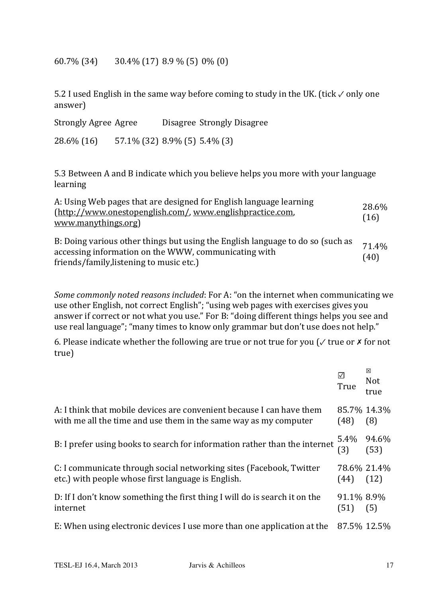$60.7\%$  (34)  $30.4\%$  (17)  $8.9\%$  (5) 0% (0)

5.2 I used English in the same way before coming to study in the UK. (tick √ only one answer)

| Strongly Agree Agree |                                 | Disagree Strongly Disagree                                                     |
|----------------------|---------------------------------|--------------------------------------------------------------------------------|
| 28.6% (16)           | $57.1\%$ (32) 8.9% (5) 5.4% (3) |                                                                                |
|                      |                                 | $E2$ Detucen A and D indicate which you helieve helpe you mane with your lange |

5.3 Between A and B indicate which you believe helps you more with your language learning

| A: Using Web pages that are designed for English language learning<br>(http://www.onestopenglish.com/, www.englishpractice.com,<br>www.manythings.org)                             | 28.6%<br>(16) |
|------------------------------------------------------------------------------------------------------------------------------------------------------------------------------------|---------------|
| B: Doing various other things but using the English language to do so (such as<br>accessing information on the WWW, communicating with<br>friends/family, listening to music etc.) | 71.4%<br>(40) |

*Some commonly noted reasons included*: For A: "on the internet when communicating we use other English, not correct English"; "using web pages with exercises gives you answer if correct or not what you use." For B: "doing different things helps you see and use real language"; "many times to know only grammar but don't use does not help."

6. Please indicate whether the following are true or not true for you ( $\checkmark$  true or  $\checkmark$  for not true)

|                                                                                                                                           | True               | ⊠<br>Not<br>true          |
|-------------------------------------------------------------------------------------------------------------------------------------------|--------------------|---------------------------|
| A: I think that mobile devices are convenient because I can have them<br>with me all the time and use them in the same way as my computer | (48)               | 85.7% 14.3%<br>(8)        |
| B: I prefer using books to search for information rather than the internet                                                                |                    | $5.4\%$ 94.6%<br>(3) (53) |
| C: I communicate through social networking sites (Facebook, Twitter<br>etc.) with people whose first language is English.                 | (44)               | 78.6% 21.4%<br>(12)       |
| D: If I don't know something the first thing I will do is search it on the<br>internet                                                    | 91.1% 8.9%<br>(51) | (5)                       |
| E: When using electronic devices I use more than one application at the                                                                   | 87.5% 12.5%        |                           |